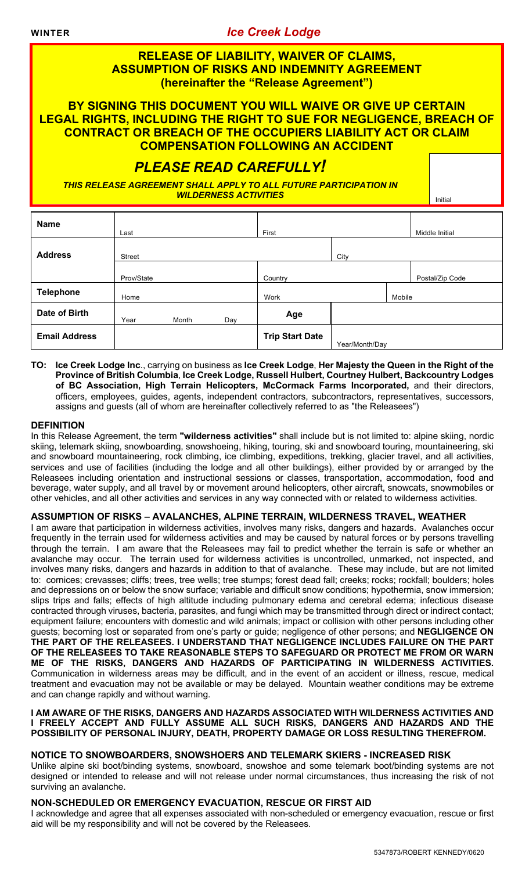### **WINTER** *Ice Creek Lodge*

# **RELEASE OF LIABILITY, WAIVER OF CLAIMS, ASSUMPTION OF RISKS AND INDEMNITY AGREEMENT (hereinafter the "Release Agreement")**

**BY SIGNING THIS DOCUMENT YOU WILL WAIVE OR GIVE UP CERTAIN LEGAL RIGHTS, INCLUDING THE RIGHT TO SUE FOR NEGLIGENCE, BREACH OF CONTRACT OR BREACH OF THE OCCUPIERS LIABILITY ACT OR CLAIM COMPENSATION FOLLOWING AN ACCIDENT**

# *PLEASE READ CAREFULLY!*

*THIS RELEASE AGREEMENT SHALL APPLY TO ALL FUTURE PARTICIPATION IN WILDERNESS ACTIVITIES* **Initial Activity of the United States of Table 100 and 100 and 100 and 100 and 100 and 100 and 100 and 100 and 100 and 100 and 100 and 100 and 100 and 100 and 100 and 100 and 100 and 100 and 100** 

| <b>Name</b>          | Last          |       |     | First                  |                |        | Middle Initial  |
|----------------------|---------------|-------|-----|------------------------|----------------|--------|-----------------|
| <b>Address</b>       | <b>Street</b> |       |     |                        | City           |        |                 |
|                      | Prov/State    |       |     | Country                |                |        | Postal/Zip Code |
| <b>Telephone</b>     | Home          |       |     | Work                   |                | Mobile |                 |
| Date of Birth        | Year          | Month | Day | Age                    |                |        |                 |
| <b>Email Address</b> |               |       |     | <b>Trip Start Date</b> | Year/Month/Day |        |                 |

**TO: Ice Creek Lodge Inc**., carrying on business as **Ice Creek Lodge**, **Her Majesty the Queen in the Right of the Province of British Columbia**, **Ice Creek Lodge, Russell Hulbert, Courtney Hulbert, Backcountry Lodges of BC Association, High Terrain Helicopters, McCormack Farms Incorporated,** and their directors, officers, employees, guides, agents, independent contractors, subcontractors, representatives, successors, assigns and guests (all of whom are hereinafter collectively referred to as "the Releasees")

#### **DEFINITION**

In this Release Agreement, the term **"wilderness activities"** shall include but is not limited to: alpine skiing, nordic skiing, telemark skiing, snowboarding, snowshoeing, hiking, touring, ski and snowboard touring, mountaineering, ski and snowboard mountaineering, rock climbing, ice climbing, expeditions, trekking, glacier travel, and all activities, services and use of facilities (including the lodge and all other buildings), either provided by or arranged by the Releasees including orientation and instructional sessions or classes, transportation, accommodation, food and beverage, water supply, and all travel by or movement around helicopters, other aircraft, snowcats, snowmobiles or other vehicles, and all other activities and services in any way connected with or related to wilderness activities.

#### **ASSUMPTION OF RISKS – AVALANCHES, ALPINE TERRAIN, WILDERNESS TRAVEL, WEATHER**

I am aware that participation in wilderness activities, involves many risks, dangers and hazards. Avalanches occur frequently in the terrain used for wilderness activities and may be caused by natural forces or by persons travelling through the terrain. I am aware that the Releasees may fail to predict whether the terrain is safe or whether an avalanche may occur. The terrain used for wilderness activities is uncontrolled, unmarked, not inspected, and involves many risks, dangers and hazards in addition to that of avalanche. These may include, but are not limited to: cornices; crevasses; cliffs; trees, tree wells; tree stumps; forest dead fall; creeks; rocks; rockfall; boulders; holes and depressions on or below the snow surface; variable and difficult snow conditions; hypothermia, snow immersion; slips trips and falls; effects of high altitude including pulmonary edema and cerebral edema; infectious disease contracted through viruses, bacteria, parasites, and fungi which may be transmitted through direct or indirect contact; equipment failure; encounters with domestic and wild animals; impact or collision with other persons including other guests; becoming lost or separated from one's party or guide; negligence of other persons; and **NEGLIGENCE ON THE PART OF THE RELEASEES. I UNDERSTAND THAT NEGLIGENCE INCLUDES FAILURE ON THE PART OF THE RELEASEES TO TAKE REASONABLE STEPS TO SAFEGUARD OR PROTECT ME FROM OR WARN ME OF THE RISKS, DANGERS AND HAZARDS OF PARTICIPATING IN WILDERNESS ACTIVITIES.**  Communication in wilderness areas may be difficult, and in the event of an accident or illness, rescue, medical treatment and evacuation may not be available or may be delayed. Mountain weather conditions may be extreme and can change rapidly and without warning.

#### **I AM AWARE OF THE RISKS, DANGERS AND HAZARDS ASSOCIATED WITH WILDERNESS ACTIVITIES AND I FREELY ACCEPT AND FULLY ASSUME ALL SUCH RISKS, DANGERS AND HAZARDS AND THE POSSIBILITY OF PERSONAL INJURY, DEATH, PROPERTY DAMAGE OR LOSS RESULTING THEREFROM.**

#### **NOTICE TO SNOWBOARDERS, SNOWSHOERS AND TELEMARK SKIERS - INCREASED RISK**

Unlike alpine ski boot/binding systems, snowboard, snowshoe and some telemark boot/binding systems are not designed or intended to release and will not release under normal circumstances, thus increasing the risk of not surviving an avalanche.

#### **NON-SCHEDULED OR EMERGENCY EVACUATION, RESCUE OR FIRST AID**

I acknowledge and agree that all expenses associated with non-scheduled or emergency evacuation, rescue or first aid will be my responsibility and will not be covered by the Releasees.